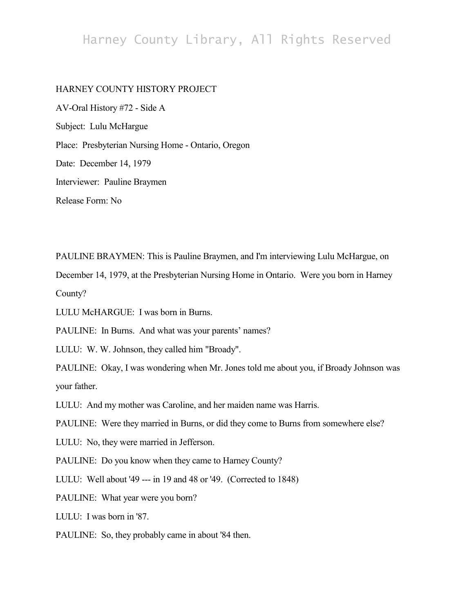## Harney County Library, All Rights Reserved

## HARNEY COUNTY HISTORY PROJECT

AV-Oral History #72 - Side A Subject: Lulu McHargue Place: Presbyterian Nursing Home - Ontario, Oregon Date: December 14, 1979 Interviewer: Pauline Braymen Release Form: No

PAULINE BRAYMEN: This is Pauline Braymen, and I'm interviewing Lulu McHargue, on

December 14, 1979, at the Presbyterian Nursing Home in Ontario. Were you born in Harney County?

LULU McHARGUE: I was born in Burns.

PAULINE: In Burns. And what was your parents' names?

LULU: W. W. Johnson, they called him "Broady".

PAULINE: Okay, I was wondering when Mr. Jones told me about you, if Broady Johnson was your father.

LULU: And my mother was Caroline, and her maiden name was Harris.

PAULINE: Were they married in Burns, or did they come to Burns from somewhere else?

LULU: No, they were married in Jefferson.

PAULINE: Do you know when they came to Harney County?

LULU: Well about '49 --- in 19 and 48 or '49. (Corrected to 1848)

PAULINE: What year were you born?

LULU: I was born in '87.

PAULINE: So, they probably came in about '84 then.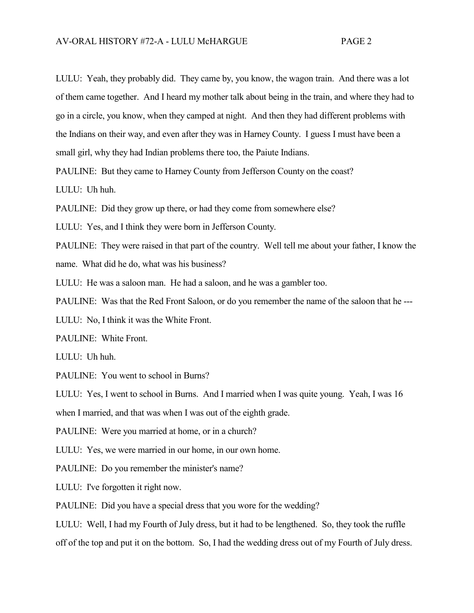LULU: Yeah, they probably did. They came by, you know, the wagon train. And there was a lot of them came together. And I heard my mother talk about being in the train, and where they had to go in a circle, you know, when they camped at night. And then they had different problems with the Indians on their way, and even after they was in Harney County. I guess I must have been a small girl, why they had Indian problems there too, the Paiute Indians.

PAULINE: But they came to Harney County from Jefferson County on the coast?

LULU: Uh huh.

PAULINE: Did they grow up there, or had they come from somewhere else?

LULU: Yes, and I think they were born in Jefferson County.

PAULINE: They were raised in that part of the country. Well tell me about your father, I know the name. What did he do, what was his business?

LULU: He was a saloon man. He had a saloon, and he was a gambler too.

PAULINE: Was that the Red Front Saloon, or do you remember the name of the saloon that he ---

LULU: No, I think it was the White Front.

PAULINE: White Front.

LULU: Uh huh.

PAULINE: You went to school in Burns?

LULU: Yes, I went to school in Burns. And I married when I was quite young. Yeah, I was 16

when I married, and that was when I was out of the eighth grade.

PAULINE: Were you married at home, or in a church?

LULU: Yes, we were married in our home, in our own home.

PAULINE: Do you remember the minister's name?

LULU: I've forgotten it right now.

PAULINE: Did you have a special dress that you wore for the wedding?

LULU: Well, I had my Fourth of July dress, but it had to be lengthened. So, they took the ruffle off of the top and put it on the bottom. So, I had the wedding dress out of my Fourth of July dress.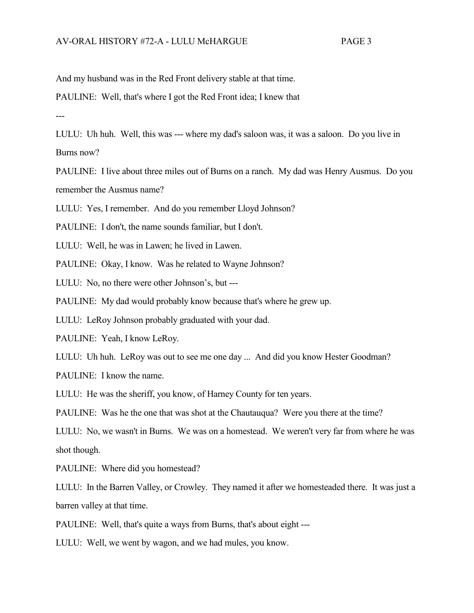And my husband was in the Red Front delivery stable at that time.

PAULINE: Well, that's where I got the Red Front idea; I knew that

---

LULU: Uh huh. Well, this was --- where my dad's saloon was, it was a saloon. Do you live in Burns now?

PAULINE: I live about three miles out of Burns on a ranch. My dad was Henry Ausmus. Do you remember the Ausmus name?

LULU: Yes, I remember. And do you remember Lloyd Johnson?

PAULINE: I don't, the name sounds familiar, but I don't.

LULU: Well, he was in Lawen; he lived in Lawen.

PAULINE: Okay, I know. Was he related to Wayne Johnson?

LULU: No, no there were other Johnson's, but ---

PAULINE: My dad would probably know because that's where he grew up.

LULU: LeRoy Johnson probably graduated with your dad.

PAULINE: Yeah, I know LeRoy.

LULU: Uh huh. LeRoy was out to see me one day ... And did you know Hester Goodman?

PAULINE: I know the name.

LULU: He was the sheriff, you know, of Harney County for ten years.

PAULINE: Was he the one that was shot at the Chautauqua? Were you there at the time?

LULU: No, we wasn't in Burns. We was on a homestead. We weren't very far from where he was shot though.

PAULINE: Where did you homestead?

LULU: In the Barren Valley, or Crowley. They named it after we homesteaded there. It was just a barren valley at that time.

PAULINE: Well, that's quite a ways from Burns, that's about eight ---

LULU: Well, we went by wagon, and we had mules, you know.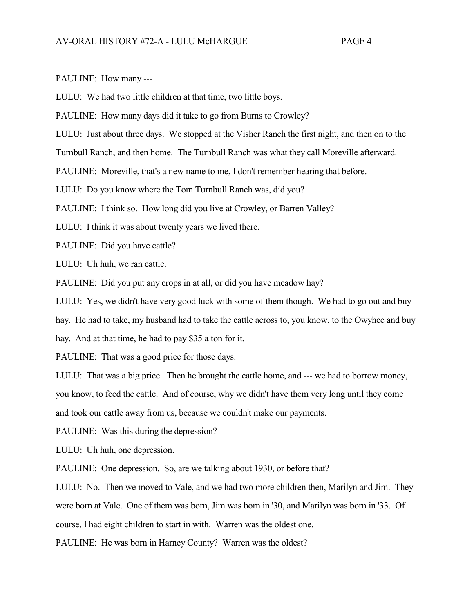PAULINE: How many ---

LULU: We had two little children at that time, two little boys.

PAULINE: How many days did it take to go from Burns to Crowley?

LULU: Just about three days. We stopped at the Visher Ranch the first night, and then on to the

Turnbull Ranch, and then home. The Turnbull Ranch was what they call Moreville afterward.

PAULINE: Moreville, that's a new name to me, I don't remember hearing that before.

LULU: Do you know where the Tom Turnbull Ranch was, did you?

PAULINE: I think so. How long did you live at Crowley, or Barren Valley?

LULU: I think it was about twenty years we lived there.

PAULINE: Did you have cattle?

LULU: Uh huh, we ran cattle.

PAULINE: Did you put any crops in at all, or did you have meadow hay?

LULU: Yes, we didn't have very good luck with some of them though. We had to go out and buy

hay. He had to take, my husband had to take the cattle across to, you know, to the Owyhee and buy

hay. And at that time, he had to pay \$35 a ton for it.

PAULINE: That was a good price for those days.

LULU: That was a big price. Then he brought the cattle home, and --- we had to borrow money, you know, to feed the cattle. And of course, why we didn't have them very long until they come

and took our cattle away from us, because we couldn't make our payments.

PAULINE: Was this during the depression?

LULU: Uh huh, one depression.

PAULINE: One depression. So, are we talking about 1930, or before that?

LULU: No. Then we moved to Vale, and we had two more children then, Marilyn and Jim. They were born at Vale. One of them was born, Jim was born in '30, and Marilyn was born in '33. Of course, I had eight children to start in with. Warren was the oldest one.

PAULINE: He was born in Harney County? Warren was the oldest?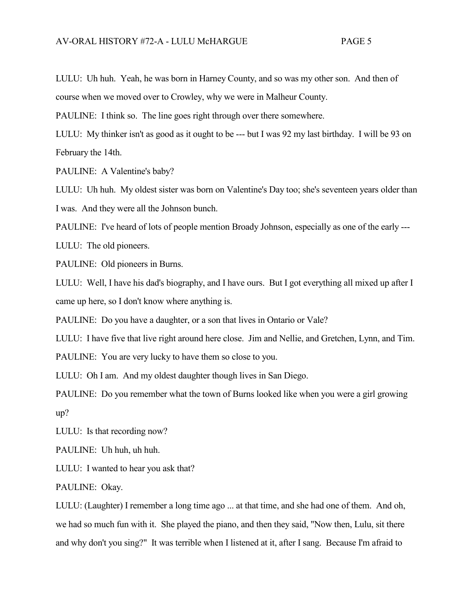LULU: Uh huh. Yeah, he was born in Harney County, and so was my other son. And then of course when we moved over to Crowley, why we were in Malheur County.

PAULINE: I think so. The line goes right through over there somewhere.

LULU: My thinker isn't as good as it ought to be --- but I was 92 my last birthday. I will be 93 on February the 14th.

PAULINE: A Valentine's baby?

LULU: Uh huh. My oldest sister was born on Valentine's Day too; she's seventeen years older than I was. And they were all the Johnson bunch.

PAULINE: I've heard of lots of people mention Broady Johnson, especially as one of the early ---

LULU: The old pioneers.

PAULINE: Old pioneers in Burns.

LULU: Well, I have his dad's biography, and I have ours. But I got everything all mixed up after I came up here, so I don't know where anything is.

PAULINE: Do you have a daughter, or a son that lives in Ontario or Vale?

LULU: I have five that live right around here close. Jim and Nellie, and Gretchen, Lynn, and Tim. PAULINE: You are very lucky to have them so close to you.

LULU: Oh I am. And my oldest daughter though lives in San Diego.

PAULINE: Do you remember what the town of Burns looked like when you were a girl growing up?

LULU: Is that recording now?

PAULINE: Uh huh, uh huh.

LULU: I wanted to hear you ask that?

PAULINE: Okay.

LULU: (Laughter) I remember a long time ago ... at that time, and she had one of them. And oh, we had so much fun with it. She played the piano, and then they said, "Now then, Lulu, sit there and why don't you sing?" It was terrible when I listened at it, after I sang. Because I'm afraid to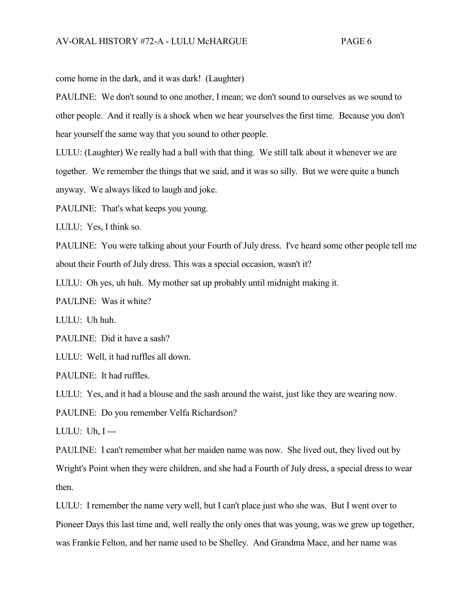come home in the dark, and it was dark! (Laughter)

PAULINE: We don't sound to one another, I mean; we don't sound to ourselves as we sound to other people. And it really is a shock when we hear yourselves the first time. Because you don't hear yourself the same way that you sound to other people.

LULU: (Laughter) We really had a ball with that thing. We still talk about it whenever we are together. We remember the things that we said, and it was so silly. But we were quite a bunch anyway. We always liked to laugh and joke.

PAULINE: That's what keeps you young.

LULU: Yes, I think so.

PAULINE: You were talking about your Fourth of July dress. I've heard some other people tell me about their Fourth of July dress. This was a special occasion, wasn't it?

LULU: Oh yes, uh huh. My mother sat up probably until midnight making it.

PAULINE: Was it white?

LULU: Uh huh.

PAULINE: Did it have a sash?

LULU: Well, it had ruffles all down.

PAULINE: It had ruffles.

LULU: Yes, and it had a blouse and the sash around the waist, just like they are wearing now.

PAULINE: Do you remember Velfa Richardson?

LULU: Uh, I ---

PAULINE: I can't remember what her maiden name was now. She lived out, they lived out by Wright's Point when they were children, and she had a Fourth of July dress, a special dress to wear then.

LULU: I remember the name very well, but I can't place just who she was. But I went over to Pioneer Days this last time and, well really the only ones that was young, was we grew up together, was Frankie Felton, and her name used to be Shelley. And Grandma Mace, and her name was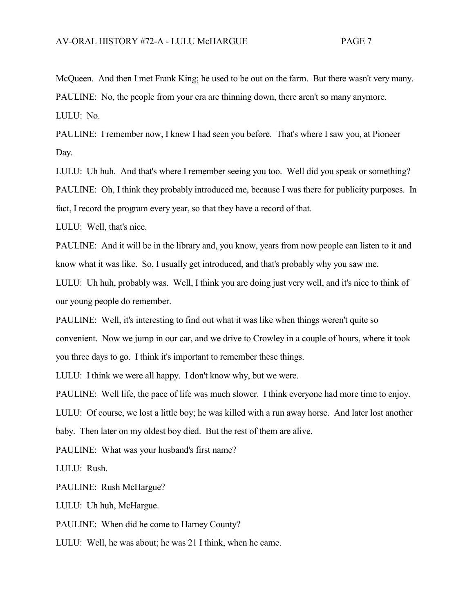McQueen. And then I met Frank King; he used to be out on the farm. But there wasn't very many. PAULINE: No, the people from your era are thinning down, there aren't so many anymore. LULU: No.

PAULINE: I remember now, I knew I had seen you before. That's where I saw you, at Pioneer Day.

LULU: Uh huh. And that's where I remember seeing you too. Well did you speak or something? PAULINE: Oh, I think they probably introduced me, because I was there for publicity purposes. In fact, I record the program every year, so that they have a record of that.

LULU: Well, that's nice.

PAULINE: And it will be in the library and, you know, years from now people can listen to it and know what it was like. So, I usually get introduced, and that's probably why you saw me.

LULU: Uh huh, probably was. Well, I think you are doing just very well, and it's nice to think of our young people do remember.

PAULINE: Well, it's interesting to find out what it was like when things weren't quite so convenient. Now we jump in our car, and we drive to Crowley in a couple of hours, where it took you three days to go. I think it's important to remember these things.

LULU: I think we were all happy. I don't know why, but we were.

PAULINE: Well life, the pace of life was much slower. I think everyone had more time to enjoy.

LULU: Of course, we lost a little boy; he was killed with a run away horse. And later lost another baby. Then later on my oldest boy died. But the rest of them are alive.

PAULINE: What was your husband's first name?

LULU: Rush.

PAULINE: Rush McHargue?

LULU: Uh huh, McHargue.

PAULINE: When did he come to Harney County?

LULU: Well, he was about; he was 21 I think, when he came.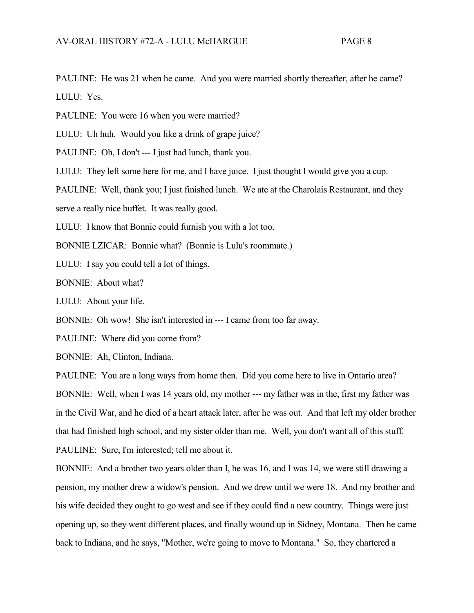PAULINE: He was 21 when he came. And you were married shortly thereafter, after he came? LULU: Yes.

PAULINE: You were 16 when you were married?

LULU: Uh huh. Would you like a drink of grape juice?

PAULINE: Oh, I don't --- I just had lunch, thank you.

LULU: They left some here for me, and I have juice. I just thought I would give you a cup.

PAULINE: Well, thank you; I just finished lunch. We ate at the Charolais Restaurant, and they

serve a really nice buffet. It was really good.

LULU: I know that Bonnie could furnish you with a lot too.

BONNIE LZICAR: Bonnie what? (Bonnie is Lulu's roommate.)

LULU: I say you could tell a lot of things.

BONNIE: About what?

LULU: About your life.

BONNIE: Oh wow! She isn't interested in --- I came from too far away.

PAULINE: Where did you come from?

BONNIE: Ah, Clinton, Indiana.

PAULINE: You are a long ways from home then. Did you come here to live in Ontario area? BONNIE: Well, when I was 14 years old, my mother --- my father was in the, first my father was in the Civil War, and he died of a heart attack later, after he was out. And that left my older brother that had finished high school, and my sister older than me. Well, you don't want all of this stuff. PAULINE: Sure, I'm interested; tell me about it.

BONNIE: And a brother two years older than I, he was 16, and I was 14, we were still drawing a pension, my mother drew a widow's pension. And we drew until we were 18. And my brother and his wife decided they ought to go west and see if they could find a new country. Things were just opening up, so they went different places, and finally wound up in Sidney, Montana. Then he came back to Indiana, and he says, "Mother, we're going to move to Montana." So, they chartered a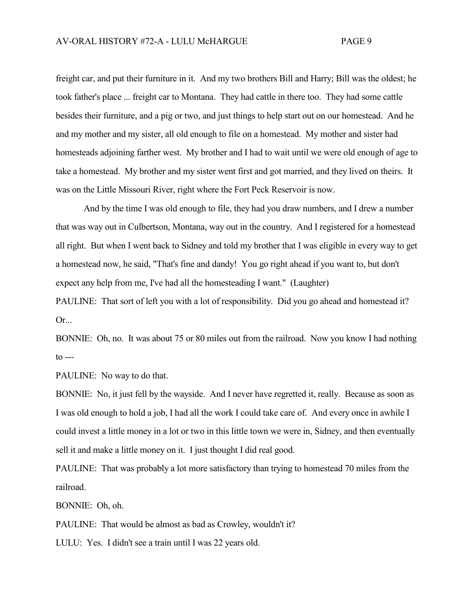freight car, and put their furniture in it. And my two brothers Bill and Harry; Bill was the oldest; he took father's place ... freight car to Montana. They had cattle in there too. They had some cattle besides their furniture, and a pig or two, and just things to help start out on our homestead. And he and my mother and my sister, all old enough to file on a homestead. My mother and sister had homesteads adjoining farther west. My brother and I had to wait until we were old enough of age to take a homestead. My brother and my sister went first and got married, and they lived on theirs. It was on the Little Missouri River, right where the Fort Peck Reservoir is now.

And by the time I was old enough to file, they had you draw numbers, and I drew a number that was way out in Culbertson, Montana, way out in the country. And I registered for a homestead all right. But when I went back to Sidney and told my brother that I was eligible in every way to get a homestead now, he said, "That's fine and dandy! You go right ahead if you want to, but don't expect any help from me, I've had all the homesteading I want." (Laughter)

PAULINE: That sort of left you with a lot of responsibility. Did you go ahead and homestead it? Or...

BONNIE: Oh, no. It was about 75 or 80 miles out from the railroad. Now you know I had nothing  $\text{to}$   $\text{-}$ 

PAULINE: No way to do that.

BONNIE: No, it just fell by the wayside. And I never have regretted it, really. Because as soon as I was old enough to hold a job, I had all the work I could take care of. And every once in awhile I could invest a little money in a lot or two in this little town we were in, Sidney, and then eventually sell it and make a little money on it. I just thought I did real good.

PAULINE: That was probably a lot more satisfactory than trying to homestead 70 miles from the railroad.

BONNIE: Oh, oh.

PAULINE: That would be almost as bad as Crowley, wouldn't it?

LULU: Yes. I didn't see a train until I was 22 years old.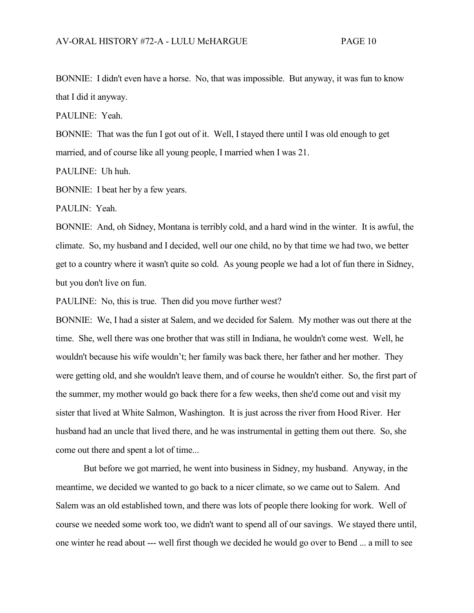BONNIE: I didn't even have a horse. No, that was impossible. But anyway, it was fun to know that I did it anyway.

PAULINE: Yeah.

BONNIE: That was the fun I got out of it. Well, I stayed there until I was old enough to get married, and of course like all young people, I married when I was 21.

PAULINE: Uh huh.

BONNIE: I beat her by a few years.

PAULIN: Yeah.

BONNIE: And, oh Sidney, Montana is terribly cold, and a hard wind in the winter. It is awful, the climate. So, my husband and I decided, well our one child, no by that time we had two, we better get to a country where it wasn't quite so cold. As young people we had a lot of fun there in Sidney, but you don't live on fun.

PAULINE: No, this is true. Then did you move further west?

BONNIE: We, I had a sister at Salem, and we decided for Salem. My mother was out there at the time. She, well there was one brother that was still in Indiana, he wouldn't come west. Well, he wouldn't because his wife wouldn't; her family was back there, her father and her mother. They were getting old, and she wouldn't leave them, and of course he wouldn't either. So, the first part of the summer, my mother would go back there for a few weeks, then she'd come out and visit my sister that lived at White Salmon, Washington. It is just across the river from Hood River. Her husband had an uncle that lived there, and he was instrumental in getting them out there. So, she come out there and spent a lot of time...

But before we got married, he went into business in Sidney, my husband. Anyway, in the meantime, we decided we wanted to go back to a nicer climate, so we came out to Salem. And Salem was an old established town, and there was lots of people there looking for work. Well of course we needed some work too, we didn't want to spend all of our savings. We stayed there until, one winter he read about --- well first though we decided he would go over to Bend ... a mill to see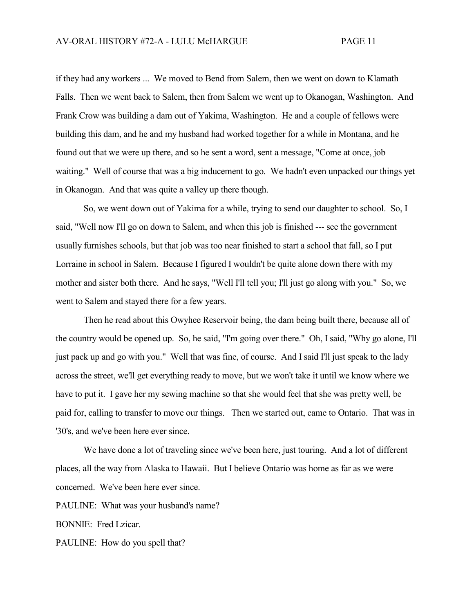if they had any workers ... We moved to Bend from Salem, then we went on down to Klamath Falls. Then we went back to Salem, then from Salem we went up to Okanogan, Washington. And Frank Crow was building a dam out of Yakima, Washington. He and a couple of fellows were building this dam, and he and my husband had worked together for a while in Montana, and he found out that we were up there, and so he sent a word, sent a message, "Come at once, job waiting." Well of course that was a big inducement to go. We hadn't even unpacked our things yet in Okanogan. And that was quite a valley up there though.

So, we went down out of Yakima for a while, trying to send our daughter to school. So, I said, "Well now I'll go on down to Salem, and when this job is finished --- see the government usually furnishes schools, but that job was too near finished to start a school that fall, so I put Lorraine in school in Salem. Because I figured I wouldn't be quite alone down there with my mother and sister both there. And he says, "Well I'll tell you; I'll just go along with you." So, we went to Salem and stayed there for a few years.

Then he read about this Owyhee Reservoir being, the dam being built there, because all of the country would be opened up. So, he said, "I'm going over there." Oh, I said, "Why go alone, I'll just pack up and go with you." Well that was fine, of course. And I said I'll just speak to the lady across the street, we'll get everything ready to move, but we won't take it until we know where we have to put it. I gave her my sewing machine so that she would feel that she was pretty well, be paid for, calling to transfer to move our things. Then we started out, came to Ontario. That was in '30's, and we've been here ever since.

We have done a lot of traveling since we've been here, just touring. And a lot of different places, all the way from Alaska to Hawaii. But I believe Ontario was home as far as we were concerned. We've been here ever since.

PAULINE: What was your husband's name?

BONNIE: Fred Lzicar.

PAULINE: How do you spell that?